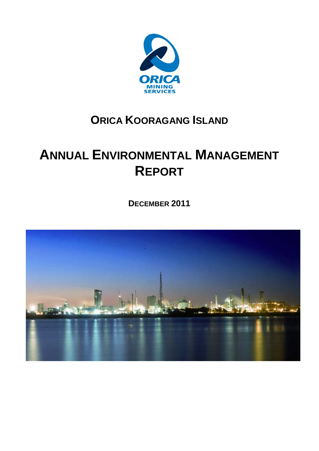

## **ORICA KOORAGANG ISLAND**

# **ANNUAL ENVIRONMENTAL MANAGEMENT REPORT**

**DECEMBER 2011**

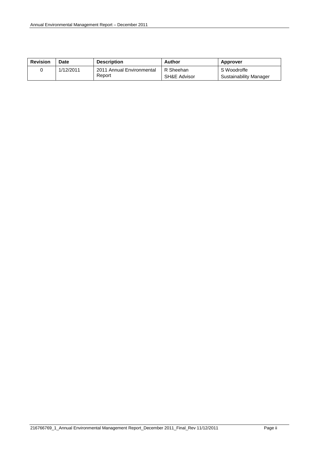| <b>Revision</b> | Date      | <b>Description</b>        | Author                  | Approver               |
|-----------------|-----------|---------------------------|-------------------------|------------------------|
|                 | 1/12/2011 | 2011 Annual Environmental | R Sheehan               | S Woodroffe            |
|                 |           | Report                    | <b>SH&amp;E Advisor</b> | Sustainability Manager |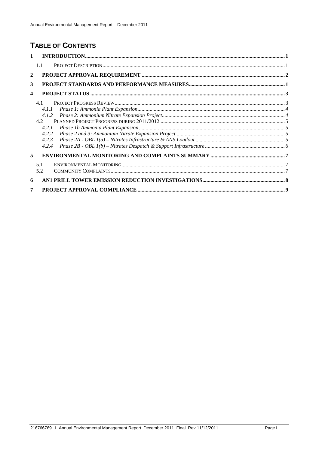## **TABLE OF CONTENTS**

| $\mathbf{1}$            |       |  |
|-------------------------|-------|--|
|                         | 1.1   |  |
| $\mathbf{2}$            |       |  |
| 3                       |       |  |
| $\overline{\mathbf{4}}$ |       |  |
|                         | 4.1   |  |
|                         | 4.1.1 |  |
|                         | 4.1.2 |  |
|                         | 4.2   |  |
|                         | 4.2.1 |  |
|                         | 4.2.2 |  |
|                         | 4.2.3 |  |
|                         | 4.2.4 |  |
| 5                       |       |  |
|                         | 5.1   |  |
|                         | 5.2   |  |
| 6                       |       |  |
| 7                       |       |  |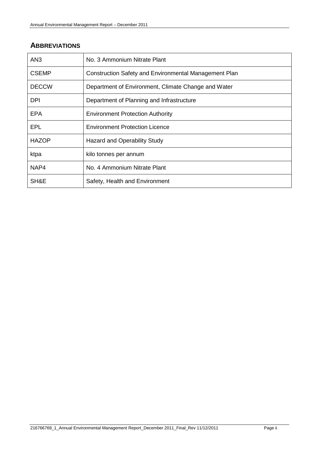## **ABBREVIATIONS**

| AN3          | No. 3 Ammonium Nitrate Plant                          |
|--------------|-------------------------------------------------------|
| <b>CSEMP</b> | Construction Safety and Environmental Management Plan |
| <b>DECCW</b> | Department of Environment, Climate Change and Water   |
| <b>DPI</b>   | Department of Planning and Infrastructure             |
| EPA          | <b>Environment Protection Authority</b>               |
| EPL          | <b>Environment Protection Licence</b>                 |
| <b>HAZOP</b> | <b>Hazard and Operability Study</b>                   |
| ktpa         | kilo tonnes per annum                                 |
| NAP4         | No. 4 Ammonium Nitrate Plant                          |
| SH&E         | Safety, Health and Environment                        |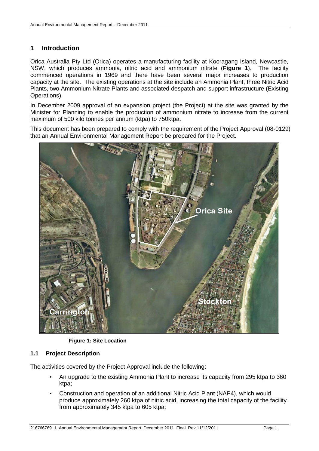#### <span id="page-4-0"></span>**1 Introduction**

Orica Australia Pty Ltd (Orica) operates a manufacturing facility at Kooragang Island, Newcastle, NSW, which produces ammonia, nitric acid and ammonium nitrate (**[Figure 1](#page-4-2)**). The facility commenced operations in 1969 and there have been several major increases to production capacity at the site. The existing operations at the site include an Ammonia Plant, three Nitric Acid Plants, two Ammonium Nitrate Plants and associated despatch and support infrastructure (Existing Operations).

In December 2009 approval of an expansion project (the Project) at the site was granted by the Minister for Planning to enable the production of ammonium nitrate to increase from the current maximum of 500 kilo tonnes per annum (ktpa) to 750ktpa.

This document has been prepared to comply with the requirement of the Project Approval (08-0129) that an Annual Environmental Management Report be prepared for the Project.



**Figure 1: Site Location**

#### <span id="page-4-2"></span><span id="page-4-1"></span>**1.1 Project Description**

The activities covered by the Project Approval include the following:

- An upgrade to the existing Ammonia Plant to increase its capacity from 295 ktpa to 360 ktpa;
- Construction and operation of an additional Nitric Acid Plant (NAP4), which would produce approximately 260 ktpa of nitric acid, increasing the total capacity of the facility from approximately 345 ktpa to 605 ktpa;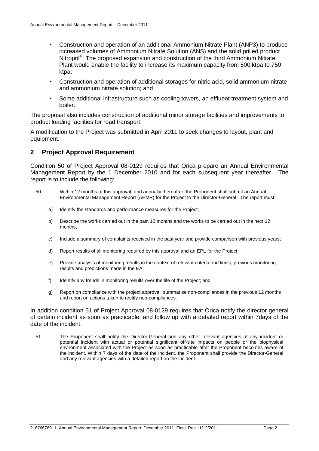- Construction and operation of an additional Ammonium Nitrate Plant (ANP3) to produce increased volumes of Ammonium Nitrate Solution (ANS) and the solid prilled product Nitropril<sup>®</sup>. The proposed expansion and construction of the third Ammonium Nitrate Plant would enable the facility to increase its maximum capacity from 500 ktpa to 750 ktpa;
- Construction and operation of additional storages for nitric acid, solid ammonium nitrate and ammonium nitrate solution; and
- Some additional infrastructure such as cooling towers, an effluent treatment system and boiler.

The proposal also includes construction of additional minor storage facilities and improvements to product loading facilities for road transport.

A modification to the Project was submitted in April 2011 to seek changes to layout, plant and equipment.

#### <span id="page-5-0"></span>**2 Project Approval Requirement**

Condition 50 of Project Approval 08-0129 requires that Orica prepare an Annual Environmental Management Report by the 1 December 2010 and for each subsequent year thereafter. The report is to include the following:

- 50 Within 12 months of this approval, and annually thereafter, the Proponent shall submit an Annual Environmental Management Report (AEMR) for the Project to the Director-General. The report must:
	- a) Identify the standards and performance measures for the Project;
	- b) Describe the works carried out in the past 12 months and the works to be carried out in the next 12 months;
	- c) Include a summary of complaints received in the past year and provide comparison with previous years;
	- d) Report results of all monitoring required by this approval and an EPL for the Project:
	- e) Provide analysis of monitoring results in the context of relevant criteria and limits, previous monitoring results and predictions made in the EA;
	- f) Identify any trends in monitoring results over the life of the Project; and
	- g) Report on compliance with the project approval, summarise non-compliances in the previous 12 months and report on actions taken to rectify non-compliances.

In addition condition 51 of Project Approval 08-0129 requires that Orica notify the director general of certain incident as soon as practicable, and follow up with a detailed report within 7days of the date of the incident.

51 The Proponent shall notify the Director-General and any other relevant agencies of any incident or potential incident with actual or potential significant off-site impacts on people or the biophysical environment associated with the Project as soon as practicable after the Proponent becomes aware of the incident. Within 7 days of the date of the incident, the Proponent shall provide the Director-General and any relevant agencies with a detailed report on the incident.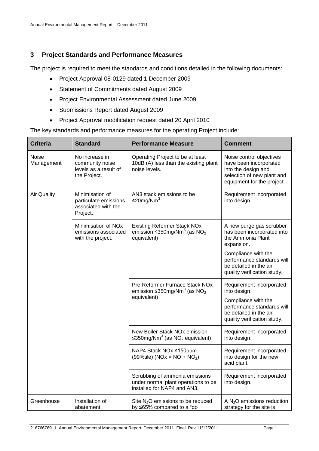#### <span id="page-6-0"></span>**3 Project Standards and Performance Measures**

The project is required to meet the standards and conditions detailed in the following documents:

- Project Approval 08-0129 dated 1 December 2009
- Statement of Commitments dated August 2009
- Project Environmental Assessment dated June 2009
- Submissions Report dated August 2009
- Project Approval modification request dated 20 April 2010

The key standards and performance measures for the operating Project include:

| <b>Criteria</b>     | <b>Standard</b>                                                              | <b>Performance Measure</b>                                                                                     | <b>Comment</b>                                                                                                                        |
|---------------------|------------------------------------------------------------------------------|----------------------------------------------------------------------------------------------------------------|---------------------------------------------------------------------------------------------------------------------------------------|
| Noise<br>Management | No increase in<br>community noise<br>levels as a result of<br>the Project.   | Operating Project to be at least<br>10dB (A) less than the existing plant<br>noise levels.                     | Noise control objectives<br>have been incorporated<br>into the design and<br>selection of new plant and<br>equipment for the project. |
| <b>Air Quality</b>  | Minimisation of<br>particulate emissions<br>associated with the<br>Project.  | AN3 stack emissions to be<br>≤20mg/Nm <sup>3</sup>                                                             | Requirement incorporated<br>into design.                                                                                              |
|                     | Minimisation of NO <sub>x</sub><br>emissions associated<br>with the project. | <b>Existing Reformer Stack NOx</b><br>emission $\leq$ 350mg/Nm <sup>3</sup> (as NO <sub>2</sub><br>equivalent) | A new purge gas scrubber<br>has been incorporated into<br>the Ammonia Plant<br>expansion.                                             |
|                     |                                                                              |                                                                                                                | Compliance with the<br>performance standards will<br>be detailed in the air<br>quality verification study.                            |
|                     |                                                                              | Pre-Reformer Furnace Stack NOx<br>emission $\leq$ 350mg/Nm <sup>3</sup> (as NO <sub>2</sub>                    | Requirement incorporated<br>into design.                                                                                              |
|                     |                                                                              | equivalent)                                                                                                    | Compliance with the<br>performance standards will<br>be detailed in the air<br>quality verification study.                            |
|                     |                                                                              | New Boiler Stack NOx emission<br>≤350mg/Nm <sup>3</sup> (as NO <sub>2</sub> equivalent)                        | Requirement incorporated<br>into design.                                                                                              |
|                     |                                                                              | NAP4 Stack NOx ≤150ppm<br>(99%tile) ( $NOx = NO + NO2$ )                                                       | Requirement incorporated<br>into design for the new<br>acid plant.                                                                    |
|                     |                                                                              | Scrubbing of ammonia emissions<br>under normal plant operations to be<br>installed for NAP4 and AN3.           | Requirement incorporated<br>into design.                                                                                              |
| Greenhouse          | Installation of<br>abatement                                                 | Site N <sub>2</sub> O emissions to be reduced<br>by ≤65% compared to a "do                                     | A $N_2O$ emissions reduction<br>strategy for the site is                                                                              |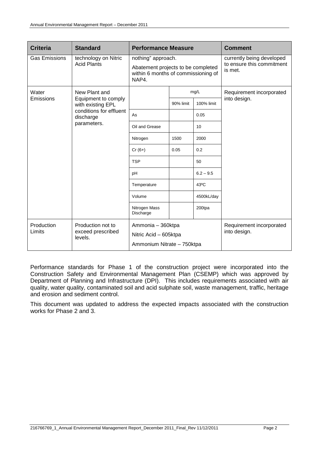| <b>Criteria</b>      | <b>Standard</b>                          | <b>Performance Measure</b>                                                         |           |                           | <b>Comment</b>                       |
|----------------------|------------------------------------------|------------------------------------------------------------------------------------|-----------|---------------------------|--------------------------------------|
| <b>Gas Emissions</b> | technology on Nitric                     | nothing" approach.                                                                 |           | currently being developed |                                      |
|                      | <b>Acid Plants</b>                       | Abatement projects to be completed<br>within 6 months of commissioning of<br>NAP4. |           |                           | to ensure this commitment<br>is met. |
| Water                | New Plant and                            |                                                                                    | mg/L      |                           | Requirement incorporated             |
| Emissions            | Equipment to comply<br>with existing EPL |                                                                                    | 90% limit | 100% limit                | into design.                         |
|                      | conditions for effluent<br>discharge     | As                                                                                 |           | 0.05                      |                                      |
|                      | parameters.                              | Oil and Grease                                                                     |           | 10                        |                                      |
|                      |                                          | Nitrogen                                                                           | 1500      | 2000                      |                                      |
|                      |                                          | $Cr(6+)$                                                                           | 0.05      | 0.2                       |                                      |
|                      |                                          | <b>TSP</b>                                                                         |           | 50                        |                                      |
|                      |                                          | pH                                                                                 |           | $6.2 - 9.5$               |                                      |
|                      |                                          | Temperature                                                                        |           | $43^{\circ}$ C            |                                      |
|                      |                                          | Volume                                                                             |           | 4500kL/day                |                                      |
|                      |                                          | Nitrogen Mass<br>Discharge                                                         |           | 200tpa                    |                                      |
| Production           | Production not to                        | Ammonia - 360ktpa                                                                  |           |                           | Requirement incorporated             |
| Limits               | exceed prescribed<br>levels.             | Nitric Acid - 605ktpa                                                              |           |                           | into design.                         |
|                      |                                          | Ammonium Nitrate - 750ktpa                                                         |           |                           |                                      |

Performance standards for Phase 1 of the construction project were incorporated into the Construction Safety and Environmental Management Plan (CSEMP) which was approved by Department of Planning and Infrastructure (DPI). This includes requirements associated with air quality, water quality, contaminated soil and acid sulphate soil, waste management, traffic, heritage and erosion and sediment control.

This document was updated to address the expected impacts associated with the construction works for Phase 2 and 3.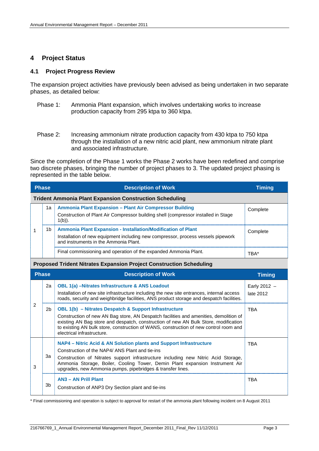#### <span id="page-8-0"></span>**4 Project Status**

#### <span id="page-8-1"></span>**4.1 Project Progress Review**

The expansion project activities have previously been advised as being undertaken in two separate phases, as detailed below:

- Phase 1: Ammonia Plant expansion, which involves undertaking works to increase production capacity from 295 ktpa to 360 ktpa.
- Phase 2: Increasing ammonium nitrate production capacity from 430 ktpa to 750 ktpa through the installation of a new nitric acid plant, new ammonium nitrate plant and associated infrastructure.

Since the completion of the Phase 1 works the Phase 2 works have been redefined and comprise two discrete phases, bringing the number of project phases to 3. The updated project phasing is represented in the table below.

|                | <b>Phase</b><br><b>Description of Work</b> |                                                                                                                                                                                                                                                                                                                                                                     | <b>Timing</b>             |
|----------------|--------------------------------------------|---------------------------------------------------------------------------------------------------------------------------------------------------------------------------------------------------------------------------------------------------------------------------------------------------------------------------------------------------------------------|---------------------------|
|                |                                            | <b>Trident Ammonia Plant Expansion Construction Scheduling</b>                                                                                                                                                                                                                                                                                                      |                           |
|                | 1a                                         | Ammonia Plant Expansion - Plant Air Compressor Building<br>Construction of Plant Air Compressor building shell (compressor installed in Stage<br>$1(b)$ ).                                                                                                                                                                                                          | Complete                  |
| 1              | 1 <sub>b</sub>                             | Ammonia Plant Expansion - Installation/Modification of Plant<br>Installation of new equipment including new compressor, process vessels pipework<br>and instruments in the Ammonia Plant.                                                                                                                                                                           | Complete                  |
|                |                                            | Final commissioning and operation of the expanded Ammonia Plant.                                                                                                                                                                                                                                                                                                    | TBA*                      |
|                |                                            | <b>Proposed Trident Nitrates Expansion Project Construction Scheduling</b>                                                                                                                                                                                                                                                                                          |                           |
|                | Phase                                      | <b>Description of Work</b>                                                                                                                                                                                                                                                                                                                                          | <b>Timing</b>             |
| $\overline{2}$ | 2a                                         | <b>OBL 1(a) -Nitrates Infrastructure &amp; ANS Loadout</b><br>Installation of new site infrastructure including the new site entrances, internal access<br>roads, security and weighbridge facilities, ANS product storage and despatch facilities.                                                                                                                 | Early 2012 -<br>late 2012 |
|                | 2b                                         | <b>OBL 1(b)</b> - Nitrates Despatch & Support Infrastructure<br>Construction of new AN Bag store, AN Despatch facilities and amenities, demolition of<br>existing AN Bag store and despatch, construction of new AN Bulk Store, modification<br>to existing AN bulk store, construction of WANS, construction of new control room and<br>electrical infrastructure. | <b>TBA</b>                |
| 3              | За                                         | NAP4 – Nitric Acid & AN Solution plants and Support Infrastructure<br>Construction of the NAP4/ ANS Plant and tie-ins<br>Construction of Nitrates support infrastructure including new Nitric Acid Storage,<br>Ammonia Storage, Boiler, Cooling Tower, Demin Plant expansion Instrument Air<br>upgrades, new Ammonia pumps, pipebridges & transfer lines.           | <b>TBA</b>                |
|                | 3 <sub>b</sub>                             | <b>AN3 - AN Prill Plant</b><br>Construction of ANP3 Dry Section plant and tie-ins                                                                                                                                                                                                                                                                                   | <b>TBA</b>                |

\* Final commissioning and operation is subject to approval for restart of the ammonia plant following incident on 8 August 2011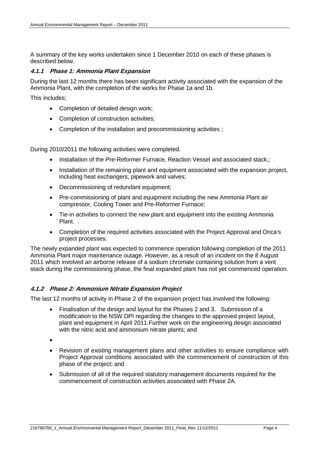A summary of the key works undertaken since 1 December 2010 on each of these phases is described below.

#### <span id="page-9-0"></span>**4.1.1 Phase 1: Ammonia Plant Expansion**

During the last 12 months there has been significant activity associated with the expansion of the Ammonia Plant, with the completion of the works for Phase 1a and 1b.

This includes;

- Completion of detailed design work;
- Completion of construction activities;
- Completion of the installation and precommissioning activities ;

During 2010/2011 the following activities were completed.

- Installation of the Pre-Reformer Furnace, Reaction Vessel and associated stack.:
- Installation of the remaining plant and equipment associated with the expansion project, including heat exchangers, pipework and valves;
- Decommissioning of redundant equipment;
- Pre-commissioning of plant and equipment including the new Ammonia Plant air compressor, Cooling Tower and Pre-Reformer Furnace;
- Tie-in activities to connect the new plant and equipment into the existing Ammonia Plant. .
- Completion of the required activities associated with the Project Approval and Orica's project processes.

The newly expanded plant was expected to commence operation following completion of the 2011 Ammonia Plant major maintenance outage. However, as a result of an incident on the 8 August 2011 which involved an airborne release of a sodium chromate containing solution from a vent stack during the commissioning phase, the final expanded plant has not yet commenced operation.

#### <span id="page-9-1"></span>**4.1.2 Phase 2: Ammonium Nitrate Expansion Project**

The last 12 months of activity in Phase 2 of the expansion project has involved the following:

- Finalisation of the design and layout for the Phases 2 and 3. Submission of a modification to the NSW DPI regarding the changes to the approved project layout, plant and equipment in April 2011.Further work on the engineering design associated with the nitric acid and ammonium nitrate plants; and
- •
- Revision of existing management plans and other activities to ensure compliance with Project Approval conditions associated with the commencement of construction of this phase of the project; and
- Submission of all of the required statutory management documents required for the commencement of construction activities associated with Phase 2A.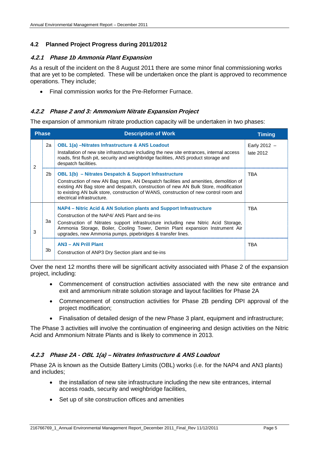#### <span id="page-10-0"></span>**4.2 Planned Project Progress during 2011/2012**

#### <span id="page-10-1"></span>**4.2.1 Phase 1b Ammonia Plant Expansion**

As a result of the incident on the 8 August 2011 there are some minor final commissioning works that are yet to be completed. These will be undertaken once the plant is approved to recommence operations. They include;

• Final commission works for the Pre-Reformer Furnace.

#### <span id="page-10-2"></span>**4.2.2 Phase 2 and 3: Ammonium Nitrate Expansion Project**

The expansion of ammonium nitrate production capacity will be undertaken in two phases:

| <b>Phase</b> |                | <b>Description of Work</b>                                                                                                                                                                                                                                                                                                                                          | <b>Timing</b>               |
|--------------|----------------|---------------------------------------------------------------------------------------------------------------------------------------------------------------------------------------------------------------------------------------------------------------------------------------------------------------------------------------------------------------------|-----------------------------|
| 2            | 2a             | <b>OBL 1(a) – Nitrates Infrastructure &amp; ANS Loadout</b><br>Installation of new site infrastructure including the new site entrances, internal access<br>roads, first flush pit, security and weighbridge facilities, ANS product storage and<br>despatch facilities.                                                                                            | Early 2012 $-$<br>late 2012 |
|              | 2 <sub>b</sub> | <b>OBL 1(b)</b> – Nitrates Despatch & Support Infrastructure<br>Construction of new AN Bag store, AN Despatch facilities and amenities, demolition of<br>existing AN Bag store and despatch, construction of new AN Bulk Store, modification<br>to existing AN bulk store, construction of WANS, construction of new control room and<br>electrical infrastructure. | TBA                         |
| 3            | За             | NAP4 – Nitric Acid & AN Solution plants and Support Infrastructure<br>Construction of the NAP4/ ANS Plant and tie-ins<br>Construction of Nitrates support infrastructure including new Nitric Acid Storage,<br>Ammonia Storage, Boiler, Cooling Tower, Demin Plant expansion Instrument Air<br>upgrades, new Ammonia pumps, pipebridges & transfer lines.           | TBA                         |
|              | 3b             | <b>AN3 - AN Prill Plant</b><br>Construction of ANP3 Dry Section plant and tie-ins                                                                                                                                                                                                                                                                                   | <b>TBA</b>                  |

Over the next 12 months there will be significant activity associated with Phase 2 of the expansion project, including:

- Commencement of construction activities associated with the new site entrance and exit and ammonium nitrate solution storage and layout facilities for Phase 2A
- Commencement of construction activities for Phase 2B pending DPI approval of the project modification;
- Finalisation of detailed design of the new Phase 3 plant, equipment and infrastructure;

The Phase 3 activities will involve the continuation of engineering and design activities on the Nitric Acid and Ammonium Nitrate Plants and is likely to commence in 2013.

#### <span id="page-10-3"></span>**4.2.3 Phase 2A - OBL 1(a) – Nitrates Infrastructure & ANS Loadout**

Phase 2A is known as the Outside Battery Limits (OBL) works (i.e. for the NAP4 and AN3 plants) and includes;

- the installation of new site infrastructure including the new site entrances, internal access roads, security and weighbridge facilities,
- Set up of site construction offices and amenities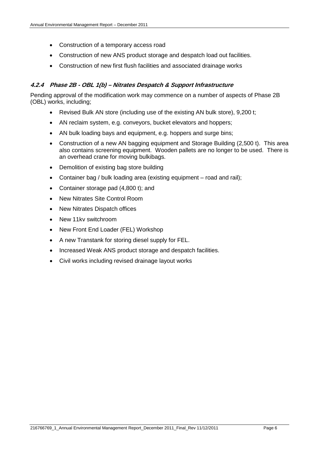- Construction of a temporary access road
- Construction of new ANS product storage and despatch load out facilities.
- Construction of new first flush facilities and associated drainage works

#### <span id="page-11-0"></span>**4.2.4 Phase 2B - OBL 1(b) – Nitrates Despatch & Support Infrastructure**

Pending approval of the modification work may commence on a number of aspects of Phase 2B (OBL) works, including;

- Revised Bulk AN store (including use of the existing AN bulk store), 9,200 t;
- AN reclaim system, e.g. conveyors, bucket elevators and hoppers;
- AN bulk loading bays and equipment, e.g. hoppers and surge bins;
- Construction of a new AN bagging equipment and Storage Building (2,500 t). This area also contains screening equipment. Wooden pallets are no longer to be used. There is an overhead crane for moving bulkibags.
- Demolition of existing bag store building
- Container bag / bulk loading area (existing equipment road and rail);
- Container storage pad (4,800 t); and
- New Nitrates Site Control Room
- New Nitrates Dispatch offices
- New 11kv switchroom
- New Front End Loader (FEL) Workshop
- A new Transtank for storing diesel supply for FEL.
- Increased Weak ANS product storage and despatch facilities.
- Civil works including revised drainage layout works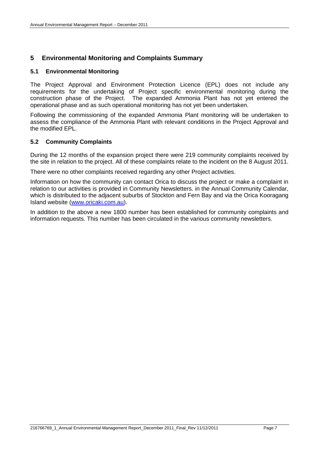#### <span id="page-12-0"></span>**5 Environmental Monitoring and Complaints Summary**

#### <span id="page-12-1"></span>**5.1 Environmental Monitoring**

The Project Approval and Environment Protection Licence (EPL) does not include any requirements for the undertaking of Project specific environmental monitoring during the construction phase of the Project. The expanded Ammonia Plant has not yet entered the operational phase and as such operational monitoring has not yet been undertaken.

Following the commissioning of the expanded Ammonia Plant monitoring will be undertaken to assess the compliance of the Ammonia Plant with relevant conditions in the Project Approval and the modified FPI

#### <span id="page-12-2"></span>**5.2 Community Complaints**

During the 12 months of the expansion project there were 219 community complaints received by the site in relation to the project. All of these complaints relate to the incident on the 8 August 2011.

There were no other complaints received regarding any other Project activities.

Information on how the community can contact Orica to discuss the project or make a complaint in relation to our activities is provided in Community Newsletters. in the Annual Community Calendar, which is distributed to the adjacent suburbs of Stockton and Fern Bay and via the Orica Kooragang Island website [\(www.oricaki.com.au\)](http://www.oricaki.com.au/).

In addition to the above a new 1800 number has been established for community complaints and information requests. This number has been circulated in the various community newsletters.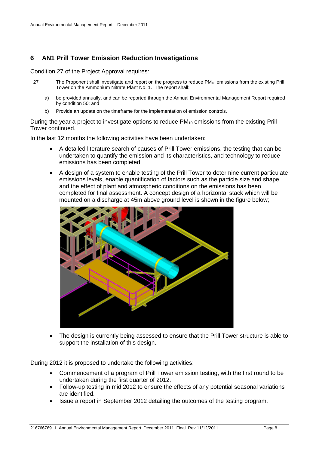### <span id="page-13-0"></span>**6 AN1 Prill Tower Emission Reduction Investigations**

Condition 27 of the Project Approval requires:

- 27 The Proponent shall investigate and report on the progress to reduce  $PM_{10}$  emissions from the existing Prill Tower on the Ammonium Nitrate Plant No. 1. The report shall:
	- a) be provided annually, and can be reported through the Annual Environmental Management Report required by condition 50; and
	- b) Provide an update on the timeframe for the implementation of emission controls.

During the year a project to investigate options to reduce  $PM_{10}$  emissions from the existing Prill Tower continued.

In the last 12 months the following activities have been undertaken:

- A detailed literature search of causes of Prill Tower emissions, the testing that can be undertaken to quantify the emission and its characteristics, and technology to reduce emissions has been completed.
- A design of a system to enable testing of the Prill Tower to determine current particulate emissions levels, enable quantification of factors such as the particle size and shape, and the effect of plant and atmospheric conditions on the emissions has been completed for final assessment. A concept design of a horizontal stack which will be mounted on a discharge at 45m above ground level is shown in the figure below;



• The design is currently being assessed to ensure that the Prill Tower structure is able to support the installation of this design.

During 2012 it is proposed to undertake the following activities:

- Commencement of a program of Prill Tower emission testing, with the first round to be undertaken during the first quarter of 2012.
- Follow-up testing in mid 2012 to ensure the effects of any potential seasonal variations are identified.
- Issue a report in September 2012 detailing the outcomes of the testing program.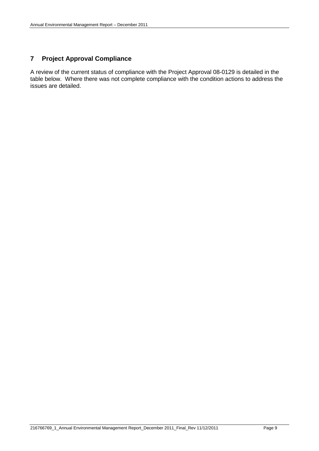## <span id="page-14-0"></span>**7 Project Approval Compliance**

A review of the current status of compliance with the Project Approval 08-0129 is detailed in the table below. Where there was not complete compliance with the condition actions to address the issues are detailed.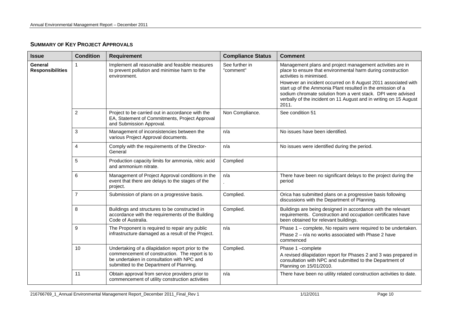#### **SUMMARY OF KEY PROJECT APPROVALS**

| <b>Issue</b>                       | <b>Condition</b> | <b>Requirement</b>                                                                                                                                                                            | <b>Compliance Status</b>    | <b>Comment</b>                                                                                                                                                                                                                                                                                                                                                                                                                     |
|------------------------------------|------------------|-----------------------------------------------------------------------------------------------------------------------------------------------------------------------------------------------|-----------------------------|------------------------------------------------------------------------------------------------------------------------------------------------------------------------------------------------------------------------------------------------------------------------------------------------------------------------------------------------------------------------------------------------------------------------------------|
| General<br><b>Responsibilities</b> | 1                | Implement all reasonable and feasible measures<br>to prevent pollution and minimise harm to the<br>environment.                                                                               | See further in<br>"comment" | Management plans and project management activities are in<br>place to ensure that environmental harm during construction<br>activities is minimised.<br>However an incident occurred on 8 August 2011 associated with<br>start up of the Ammonia Plant resulted in the emission of a<br>sodium chromate solution from a vent stack. DPI were advised<br>verbally of the incident on 11 August and in writing on 15 August<br>2011. |
|                                    | $\overline{2}$   | Project to be carried out in accordance with the<br>EA, Statement of Commitments, Project Approval<br>and Submission Approval.                                                                | Non Compliance.             | See condition 51                                                                                                                                                                                                                                                                                                                                                                                                                   |
|                                    | 3                | Management of inconsistencies between the<br>various Project Approval documents.                                                                                                              | n/a                         | No issues have been identified.                                                                                                                                                                                                                                                                                                                                                                                                    |
|                                    | 4                | Comply with the requirements of the Director-<br>General                                                                                                                                      | n/a                         | No issues were identified during the period.                                                                                                                                                                                                                                                                                                                                                                                       |
|                                    | $\sqrt{5}$       | Production capacity limits for ammonia, nitric acid<br>and ammonium nitrate.                                                                                                                  | Complied                    |                                                                                                                                                                                                                                                                                                                                                                                                                                    |
|                                    | 6                | Management of Project Approval conditions in the<br>event that there are delays to the stages of the<br>project.                                                                              | n/a                         | There have been no significant delays to the project during the<br>period                                                                                                                                                                                                                                                                                                                                                          |
|                                    | $\overline{7}$   | Submission of plans on a progressive basis.                                                                                                                                                   | Complied.                   | Orica has submitted plans on a progressive basis following<br>discussions with the Department of Planning.                                                                                                                                                                                                                                                                                                                         |
|                                    | 8                | Buildings and structures to be constructed in<br>accordance with the requirements of the Building<br>Code of Australia.                                                                       | Complied.                   | Buildings are being designed in accordance with the relevant<br>requirements. Construction and occupation certificates have<br>been obtained for relevant buildings.                                                                                                                                                                                                                                                               |
|                                    | 9                | The Proponent is required to repair any public<br>infrastructure damaged as a result of the Project.                                                                                          | n/a                         | Phase 1 - complete, No repairs were required to be undertaken.<br>Phase 2 – n/a no works associated with Phase 2 have<br>commenced                                                                                                                                                                                                                                                                                                 |
|                                    | 10               | Undertaking of a dilapidation report prior to the<br>commencement of construction. The report is to<br>be undertaken in consultation with NPC and<br>submitted to the Department of Planning. | Complied.                   | Phase 1-complete<br>A revised dilapidation report for Phases 2 and 3 was prepared in<br>consultation with NPC and submitted to the Department of<br>Planning on 15/01/2010.                                                                                                                                                                                                                                                        |
|                                    | 11               | Obtain approval from service providers prior to<br>commencement of utility construction activities                                                                                            | n/a                         | There have been no utility related construction activities to date.                                                                                                                                                                                                                                                                                                                                                                |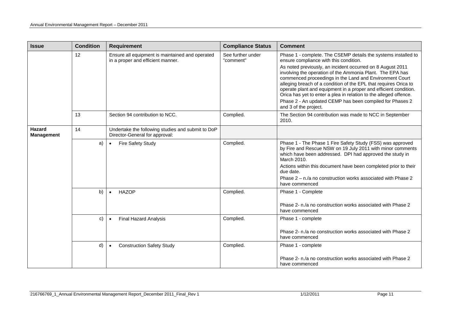| <b>Issue</b>                | <b>Condition</b> | <b>Requirement</b>                                                                   | <b>Compliance Status</b>       | <b>Comment</b>                                                                                                                                                                                                                                                                                                                                                                                                                                                                                                                                                                                   |
|-----------------------------|------------------|--------------------------------------------------------------------------------------|--------------------------------|--------------------------------------------------------------------------------------------------------------------------------------------------------------------------------------------------------------------------------------------------------------------------------------------------------------------------------------------------------------------------------------------------------------------------------------------------------------------------------------------------------------------------------------------------------------------------------------------------|
|                             | 12               | Ensure all equipment is maintained and operated<br>in a proper and efficient manner. | See further under<br>"comment" | Phase 1 - complete. The CSEMP details the systems installed to<br>ensure compliance with this condition.<br>As noted previously, an incident occurred on 8 August 2011<br>involving the operation of the Ammonia Plant. The EPA has<br>commenced proceedings in the Land and Environment Court<br>alleging breach of a condition of the EPL that requires Orica to<br>operate plant and equipment in a proper and efficient condition.<br>Orica has yet to enter a plea in relation to the alleged offence.<br>Phase 2 - An updated CEMP has been compiled for Phases 2<br>and 3 of the project. |
|                             | 13               | Section 94 contribution to NCC.                                                      | Complied.                      | The Section 94 contribution was made to NCC in September<br>2010.                                                                                                                                                                                                                                                                                                                                                                                                                                                                                                                                |
| Hazard<br><b>Management</b> | 14               | Undertake the following studies and submit to DoP<br>Director-General for approval:  |                                |                                                                                                                                                                                                                                                                                                                                                                                                                                                                                                                                                                                                  |
|                             | a)               | Fire Safety Study<br>$\bullet$                                                       | Complied.                      | Phase 1 - The Phase 1 Fire Safety Study (FSS) was approved<br>by Fire and Rescue NSW on 19 July 2011 with minor comments<br>which have been addressed. DPI had approved the study in<br>March 2010.<br>Actions within this document have been completed prior to their<br>due date.<br>Phase 2 - n./a no construction works associated with Phase 2<br>have commenced                                                                                                                                                                                                                            |
|                             | b)               | <b>HAZOP</b><br>$\bullet$                                                            | Complied.                      | Phase 1 - Complete<br>Phase 2- n./a no construction works associated with Phase 2<br>have commenced                                                                                                                                                                                                                                                                                                                                                                                                                                                                                              |
|                             | C)               | <b>Final Hazard Analysis</b>                                                         | Complied.                      | Phase 1 - complete<br>Phase 2- n./a no construction works associated with Phase 2<br>have commenced                                                                                                                                                                                                                                                                                                                                                                                                                                                                                              |
|                             | d)               | <b>Construction Safety Study</b>                                                     | Complied.                      | Phase 1 - complete<br>Phase 2- n./a no construction works associated with Phase 2<br>have commenced                                                                                                                                                                                                                                                                                                                                                                                                                                                                                              |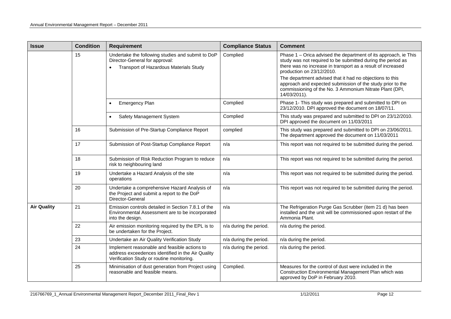| <b>Issue</b>       | <b>Condition</b> | <b>Requirement</b>                                                                                                                             | <b>Compliance Status</b> | <b>Comment</b>                                                                                                                                                                                                                                                                                                                                                                                                                  |
|--------------------|------------------|------------------------------------------------------------------------------------------------------------------------------------------------|--------------------------|---------------------------------------------------------------------------------------------------------------------------------------------------------------------------------------------------------------------------------------------------------------------------------------------------------------------------------------------------------------------------------------------------------------------------------|
|                    | 15               | Undertake the following studies and submit to DoP<br>Director-General for approval:<br>Transport of Hazardous Materials Study                  | Complied                 | Phase 1 – Orica advised the department of its approach, ie This<br>study was not required to be submitted during the period as<br>there was no increase in transport as a result of increased<br>production on 23/12/2010.<br>The department advised that it had no objections to this<br>approach and expected submission of the study prior to the<br>commissioning of the No. 3 Ammonium Nitrate Plant (DPI,<br>14/03/2011). |
|                    |                  | Emergency Plan<br>$\bullet$                                                                                                                    | Complied                 | Phase 1- This study was prepared and submitted to DPI on<br>23/12/2010. DPI approved the document on 18/07/11.                                                                                                                                                                                                                                                                                                                  |
|                    |                  | Safety Management System<br>$\bullet$                                                                                                          | Complied                 | This study was prepared and submitted to DPI on 23/12/2010.<br>DPI approved the document on 11/03/2011                                                                                                                                                                                                                                                                                                                          |
|                    | 16               | Submission of Pre-Startup Compliance Report                                                                                                    | complied                 | This study was prepared and submitted to DPI on 23/06/2011.<br>The department approved the document on 11/03/2011                                                                                                                                                                                                                                                                                                               |
|                    | 17               | Submission of Post-Startup Compliance Report                                                                                                   | n/a                      | This report was not required to be submitted during the period.                                                                                                                                                                                                                                                                                                                                                                 |
|                    | 18               | Submission of Risk Reduction Program to reduce<br>risk to neighbouring land                                                                    | n/a                      | This report was not required to be submitted during the period.                                                                                                                                                                                                                                                                                                                                                                 |
|                    | 19               | Undertake a Hazard Analysis of the site<br>operations                                                                                          | n/a                      | This report was not required to be submitted during the period.                                                                                                                                                                                                                                                                                                                                                                 |
|                    | 20               | Undertake a comprehensive Hazard Analysis of<br>the Project and submit a report to the DoP<br>Director-General                                 | n/a                      | This report was not required to be submitted during the period.                                                                                                                                                                                                                                                                                                                                                                 |
| <b>Air Quality</b> | 21               | Emission controls detailed in Section 7.8.1 of the<br>Environmental Assessment are to be incorporated<br>into the design.                      | n/a                      | The Refrigeration Purge Gas Scrubber (item 21 d) has been<br>installed and the unit will be commissioned upon restart of the<br>Ammonia Plant.                                                                                                                                                                                                                                                                                  |
|                    | 22               | Air emission monitoring required by the EPL is to<br>be undertaken for the Project.                                                            | n/a during the period.   | n/a during the period.                                                                                                                                                                                                                                                                                                                                                                                                          |
|                    | 23               | Undertake an Air Quality Verification Study                                                                                                    | n/a during the period.   | n/a during the period.                                                                                                                                                                                                                                                                                                                                                                                                          |
|                    | 24               | Implement reasonable and feasible actions to<br>address exceedences identified in the Air Quality<br>Verification Study or routine monitoring. | n/a during the period.   | n/a during the period.                                                                                                                                                                                                                                                                                                                                                                                                          |
|                    | 25               | Minimisation of dust generation from Project using<br>reasonable and feasible means.                                                           | Complied.                | Measures for the control of dust were included in the<br>Construction Environmental Management Plan which was<br>approved by DoP in February 2010.                                                                                                                                                                                                                                                                              |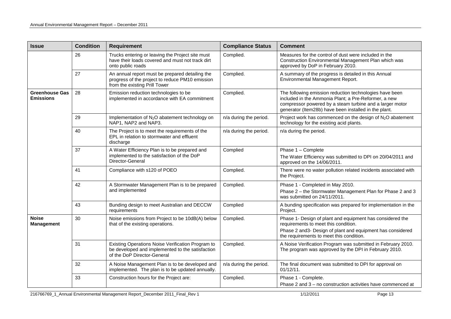| <b>Issue</b>                              | <b>Condition</b> | Requirement                                                                                                                          | <b>Compliance Status</b> | <b>Comment</b>                                                                                                                                                                                                                       |
|-------------------------------------------|------------------|--------------------------------------------------------------------------------------------------------------------------------------|--------------------------|--------------------------------------------------------------------------------------------------------------------------------------------------------------------------------------------------------------------------------------|
|                                           | 26               | Trucks entering or leaving the Project site must<br>have their loads covered and must not track dirt<br>onto public roads            | Complied.                | Measures for the control of dust were included in the<br>Construction Environmental Management Plan which was<br>approved by DoP in February 2010.                                                                                   |
|                                           | 27               | An annual report must be prepared detailing the<br>progress of the project to reduce PM10 emission<br>from the existing Prill Tower  | Complied.                | A summary of the progress is detailed in this Annual<br>Environmental Management Report.                                                                                                                                             |
| <b>Greenhouse Gas</b><br><b>Emissions</b> | 28               | Emission reduction technologies to be<br>implemented in accordance with EA commitment                                                | Complied.                | The following emission reduction technologies have been<br>included in the Ammonia Plant; a Pre-Reformer, a new<br>compressor powered by a steam turbine and a larger motor<br>generator (Item28b) have been installed in the plant. |
|                                           | 29               | Implementation of N <sub>2</sub> O abatement technology on<br>NAP1, NAP2 and NAP3.                                                   | n/a during the period.   | Project work has commenced on the design of N <sub>2</sub> O abatement<br>technology for the existing acid plants.                                                                                                                   |
|                                           | 40               | The Project is to meet the requirements of the<br>EPL in relation to stormwater and effluent<br>discharge                            | n/a during the period.   | n/a during the period.                                                                                                                                                                                                               |
|                                           | 37               | A Water Efficiency Plan is to be prepared and<br>implemented to the satisfaction of the DoP<br>Director-General                      | Complied                 | Phase 1 - Complete<br>The Water Efficiency was submitted to DPI on 20/04/2011 and<br>approved on the 14/06/2011.                                                                                                                     |
|                                           | 41               | Compliance with s120 of POEO                                                                                                         | Complied.                | There were no water pollution related incidents associated with<br>the Project.                                                                                                                                                      |
|                                           | 42               | A Stormwater Management Plan is to be prepared<br>and implemented                                                                    | Complied.                | Phase 1 - Completed in May 2010.<br>Phase 2 - the Stormwater Management Plan for Phase 2 and 3<br>was submitted on 24/11/2011.                                                                                                       |
|                                           | 43               | Bunding design to meet Australian and DECCW<br>requirements                                                                          | Complied                 | A bunding specification was prepared for implementation in the<br>Project.                                                                                                                                                           |
| <b>Noise</b><br><b>Management</b>         | 30               | Noise emissions from Project to be 10dB(A) below<br>that of the existing operations.                                                 | Complied.                | Phase 1- Design of plant and equipment has considered the<br>requirements to meet this condition.<br>Phase 2 and 3- Design of plant and equipment has considered<br>the requirements to meet this condition.                         |
|                                           | 31               | Existing Operations Noise Verification Program to<br>be developed and implemented to the satisfaction<br>of the DoP Director-General | Complied.                | A Noise Verification Program was submitted in February 2010.<br>The program was approved by the DPI in February 2010.                                                                                                                |
|                                           | 32               | A Noise Management Plan is to be developed and<br>implemented. The plan is to be updated annually.                                   | n/a during the period.   | The final document was submitted to DPI for approval on<br>01/12/11.                                                                                                                                                                 |
|                                           | 33               | Construction hours for the Project are:                                                                                              | Complied.                | Phase 1 - Complete.<br>Phase 2 and 3 – no construction activities have commenced at                                                                                                                                                  |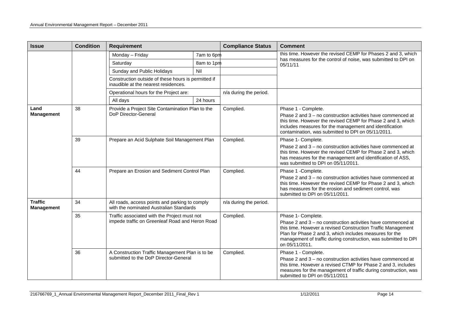| <b>Issue</b>                        | <b>Condition</b> | <b>Requirement</b>                                                                              |            | <b>Compliance Status</b> | <b>Comment</b>                                                                                                                                                                                                                                                                                     |
|-------------------------------------|------------------|-------------------------------------------------------------------------------------------------|------------|--------------------------|----------------------------------------------------------------------------------------------------------------------------------------------------------------------------------------------------------------------------------------------------------------------------------------------------|
|                                     |                  | Monday - Friday                                                                                 | 7am to 6pm |                          | this time. However the revised CEMP for Phases 2 and 3, which                                                                                                                                                                                                                                      |
|                                     |                  | Saturday                                                                                        | 8am to 1pm |                          | has measures for the control of noise, was submitted to DPI on<br>05/11/11                                                                                                                                                                                                                         |
|                                     |                  | Sunday and Public Holidays                                                                      | Nil        |                          |                                                                                                                                                                                                                                                                                                    |
|                                     |                  | Construction outside of these hours is permitted if<br>inaudible at the nearest residences.     |            |                          |                                                                                                                                                                                                                                                                                                    |
|                                     |                  | Operational hours for the Project are:                                                          |            | n/a during the period.   |                                                                                                                                                                                                                                                                                                    |
|                                     |                  | All days                                                                                        | 24 hours   |                          |                                                                                                                                                                                                                                                                                                    |
| Land<br><b>Management</b>           | 38               | Provide a Project Site Contamination Plan to the<br>DoP Director-General                        |            | Complied.                | Phase 1 - Complete.<br>Phase 2 and 3 - no construction activities have commenced at<br>this time. However the revised CEMP for Phase 2 and 3, which<br>includes measures for the management and identification<br>contamination, was submitted to DPI on 05/11/2011.                               |
|                                     | 39               | Prepare an Acid Sulphate Soil Management Plan                                                   |            | Complied.                | Phase 1- Complete.<br>Phase 2 and 3 - no construction activities have commenced at<br>this time. However the revised CEMP for Phase 2 and 3, which<br>has measures for the management and identification of ASS,<br>was submitted to DPI on 05/11/2011.                                            |
|                                     | 44               | Prepare an Erosion and Sediment Control Plan                                                    |            | Complied.                | Phase 1 -Complete.<br>Phase 2 and 3 – no construction activities have commenced at<br>this time. However the revised CEMP for Phase 2 and 3, which<br>has measures for the erosion and sediment control, was<br>submitted to DPI on 05/11/2011.                                                    |
| <b>Traffic</b><br><b>Management</b> | 34               | All roads, access points and parking to comply<br>with the nominated Australian Standards       |            | n/a during the period.   |                                                                                                                                                                                                                                                                                                    |
|                                     | 35               | Traffic associated with the Project must not<br>impede traffic on Greenleaf Road and Heron Road |            | Complied.                | Phase 1- Complete.<br>Phase 2 and 3 - no construction activities have commenced at<br>this time. However a revised Construction Traffic Management<br>Plan for Phase 2 and 3, which includes measures for the<br>management of traffic during construction, was submitted to DPI<br>on 05/11/2011. |
|                                     | 36               | A Construction Traffic Management Plan is to be<br>submitted to the DoP Director-General        |            | Complied.                | Phase 1 - Complete.<br>Phase 2 and 3 - no construction activities have commenced at<br>this time. However a revised CTMP for Phase 2 and 3, includes<br>measures for the management of traffic during construction, was<br>submitted to DPI on 05/11/2011                                          |